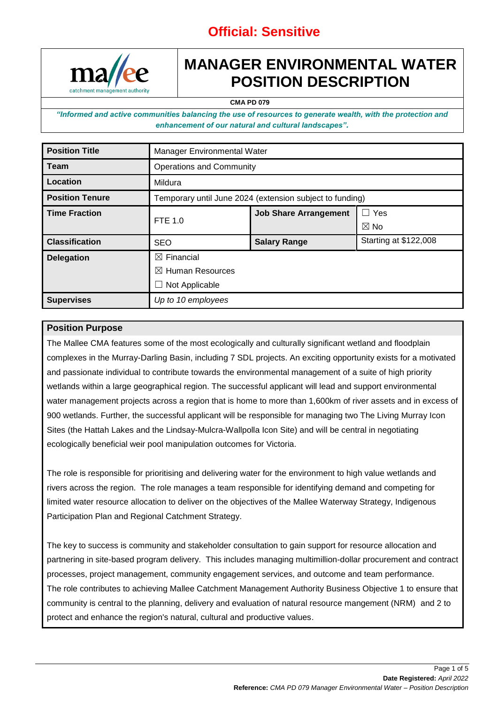

# **MANAGER ENVIRONMENTAL WATER POSITION DESCRIPTION**

**CMA PD 079**

*"Informed and active communities balancing the use of resources to generate wealth, with the protection and enhancement of our natural and cultural landscapes".*

| <b>Position Title</b>  | Manager Environmental Water                              |                              |                       |  |
|------------------------|----------------------------------------------------------|------------------------------|-----------------------|--|
| <b>Team</b>            | <b>Operations and Community</b>                          |                              |                       |  |
| Location               | Mildura                                                  |                              |                       |  |
| <b>Position Tenure</b> | Temporary until June 2024 (extension subject to funding) |                              |                       |  |
| <b>Time Fraction</b>   | FTE 1.0                                                  | <b>Job Share Arrangement</b> | $\Box$ Yes            |  |
|                        |                                                          |                              | $\boxtimes$ No        |  |
| <b>Classification</b>  | <b>SEO</b>                                               | <b>Salary Range</b>          | Starting at \$122,008 |  |
| <b>Delegation</b>      | $\boxtimes$ Financial                                    |                              |                       |  |
|                        | $\boxtimes$ Human Resources                              |                              |                       |  |
|                        | Not Applicable                                           |                              |                       |  |
| <b>Supervises</b>      | Up to 10 employees                                       |                              |                       |  |

#### **Position Purpose**

The Mallee CMA features some of the most ecologically and culturally significant wetland and floodplain complexes in the Murray-Darling Basin, including 7 SDL projects. An exciting opportunity exists for a motivated and passionate individual to contribute towards the environmental management of a suite of high priority wetlands within a large geographical region. The successful applicant will lead and support environmental water management projects across a region that is home to more than 1,600km of river assets and in excess of 900 wetlands. Further, the successful applicant will be responsible for managing two The Living Murray Icon Sites (the Hattah Lakes and the Lindsay-Mulcra-Wallpolla Icon Site) and will be central in negotiating ecologically beneficial weir pool manipulation outcomes for Victoria.

The role is responsible for prioritising and delivering water for the environment to high value wetlands and rivers across the region. The role manages a team responsible for identifying demand and competing for limited water resource allocation to deliver on the objectives of the Mallee Waterway Strategy, Indigenous Participation Plan and Regional Catchment Strategy.

The key to success is community and stakeholder consultation to gain support for resource allocation and partnering in site-based program delivery. This includes managing multimillion-dollar procurement and contract processes, project management, community engagement services, and outcome and team performance. The role contributes to achieving Mallee Catchment Management Authority Business Objective 1 to ensure that community is central to the planning, delivery and evaluation of natural resource mangement (NRM) and 2 to protect and enhance the region's natural, cultural and productive values.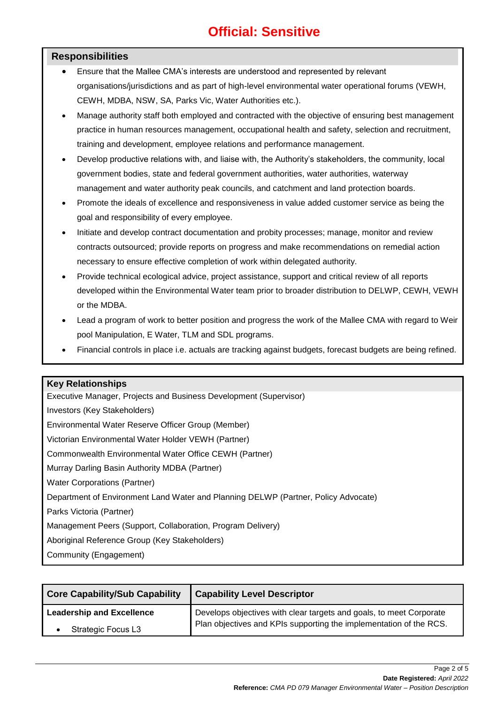#### **Responsibilities**

- Ensure that the Mallee CMA's interests are understood and represented by relevant organisations/jurisdictions and as part of high-level environmental water operational forums (VEWH, CEWH, MDBA, NSW, SA, Parks Vic, Water Authorities etc.).
- Manage authority staff both employed and contracted with the objective of ensuring best management practice in human resources management, occupational health and safety, selection and recruitment, training and development, employee relations and performance management.
- Develop productive relations with, and liaise with, the Authority's stakeholders, the community, local government bodies, state and federal government authorities, water authorities, waterway management and water authority peak councils, and catchment and land protection boards.
- Promote the ideals of excellence and responsiveness in value added customer service as being the goal and responsibility of every employee.
- Initiate and develop contract documentation and probity processes; manage, monitor and review contracts outsourced; provide reports on progress and make recommendations on remedial action necessary to ensure effective completion of work within delegated authority.
- Provide technical ecological advice, project assistance, support and critical review of all reports developed within the Environmental Water team prior to broader distribution to DELWP, CEWH, VEWH or the MDBA.
- Lead a program of work to better position and progress the work of the Mallee CMA with regard to Weir pool Manipulation, E Water, TLM and SDL programs.
- Financial controls in place i.e. actuals are tracking against budgets, forecast budgets are being refined.

#### **Key Relationships**

Executive Manager, Projects and Business Development (Supervisor) Investors (Key Stakeholders) Environmental Water Reserve Officer Group (Member) Victorian Environmental Water Holder VEWH (Partner) Commonwealth Environmental Water Office CEWH (Partner) Murray Darling Basin Authority MDBA (Partner) Water Corporations (Partner) Department of Environment Land Water and Planning DELWP (Partner, Policy Advocate) Parks Victoria (Partner) Management Peers (Support, Collaboration, Program Delivery) Aboriginal Reference Group (Key Stakeholders) Community (Engagement)

**Core Capability/Sub Capability Capability Level Descriptor Leadership and Excellence** • Strategic Focus L3 Develops objectives with clear targets and goals, to meet Corporate Plan objectives and KPIs supporting the implementation of the RCS.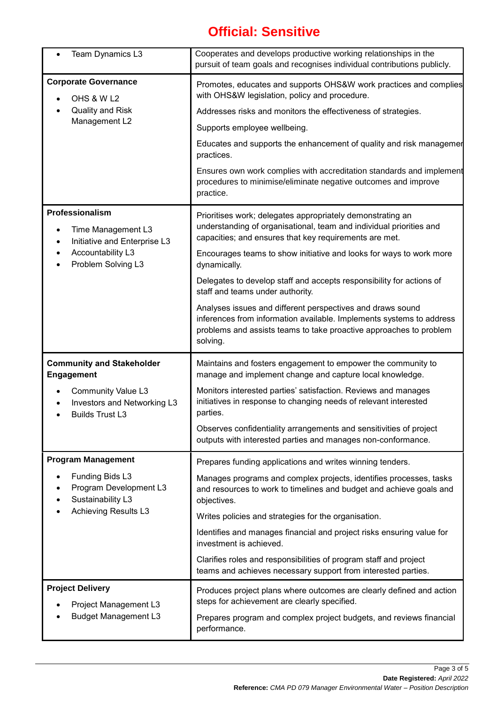| Team Dynamics L3                                                                                                 | Cooperates and develops productive working relationships in the<br>pursuit of team goals and recognises individual contributions publicly.                                                                           |  |  |
|------------------------------------------------------------------------------------------------------------------|----------------------------------------------------------------------------------------------------------------------------------------------------------------------------------------------------------------------|--|--|
| <b>Corporate Governance</b><br>OHS & W L2                                                                        | Promotes, educates and supports OHS&W work practices and complies<br>with OHS&W legislation, policy and procedure.                                                                                                   |  |  |
| <b>Quality and Risk</b><br>Management L2                                                                         | Addresses risks and monitors the effectiveness of strategies.                                                                                                                                                        |  |  |
|                                                                                                                  | Supports employee wellbeing.                                                                                                                                                                                         |  |  |
|                                                                                                                  | Educates and supports the enhancement of quality and risk managemer<br>practices.                                                                                                                                    |  |  |
|                                                                                                                  | Ensures own work complies with accreditation standards and implement<br>procedures to minimise/eliminate negative outcomes and improve<br>practice.                                                                  |  |  |
| Professionalism<br>Time Management L3<br>Initiative and Enterprise L3<br>Accountability L3<br>Problem Solving L3 | Prioritises work; delegates appropriately demonstrating an<br>understanding of organisational, team and individual priorities and<br>capacities; and ensures that key requirements are met.                          |  |  |
|                                                                                                                  | Encourages teams to show initiative and looks for ways to work more<br>dynamically.                                                                                                                                  |  |  |
|                                                                                                                  | Delegates to develop staff and accepts responsibility for actions of<br>staff and teams under authority.                                                                                                             |  |  |
|                                                                                                                  | Analyses issues and different perspectives and draws sound<br>inferences from information available. Implements systems to address<br>problems and assists teams to take proactive approaches to problem<br>solving. |  |  |
| <b>Community and Stakeholder</b><br><b>Engagement</b>                                                            | Maintains and fosters engagement to empower the community to<br>manage and implement change and capture local knowledge.                                                                                             |  |  |
| <b>Community Value L3</b><br>Investors and Networking L3<br><b>Builds Trust L3</b>                               | Monitors interested parties' satisfaction. Reviews and manages<br>initiatives in response to changing needs of relevant interested<br>parties.                                                                       |  |  |
|                                                                                                                  | Observes confidentiality arrangements and sensitivities of project<br>outputs with interested parties and manages non-conformance.                                                                                   |  |  |
| <b>Program Management</b>                                                                                        | Prepares funding applications and writes winning tenders.                                                                                                                                                            |  |  |
| Funding Bids L3<br>Program Development L3<br>Sustainability L3<br><b>Achieving Results L3</b>                    | Manages programs and complex projects, identifies processes, tasks<br>and resources to work to timelines and budget and achieve goals and<br>objectives.                                                             |  |  |
|                                                                                                                  | Writes policies and strategies for the organisation.                                                                                                                                                                 |  |  |
|                                                                                                                  | Identifies and manages financial and project risks ensuring value for<br>investment is achieved.                                                                                                                     |  |  |
|                                                                                                                  | Clarifies roles and responsibilities of program staff and project<br>teams and achieves necessary support from interested parties.                                                                                   |  |  |
| <b>Project Delivery</b><br>Project Management L3                                                                 | Produces project plans where outcomes are clearly defined and action<br>steps for achievement are clearly specified.                                                                                                 |  |  |
| <b>Budget Management L3</b>                                                                                      | Prepares program and complex project budgets, and reviews financial<br>performance.                                                                                                                                  |  |  |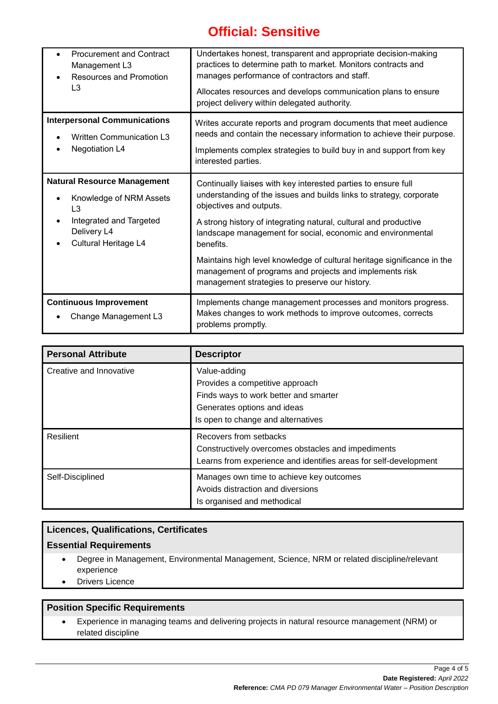| <b>Procurement and Contract</b><br>$\bullet$<br>Management L3<br><b>Resources and Promotion</b><br>$\bullet$<br>L3                                                                       | Undertakes honest, transparent and appropriate decision-making<br>practices to determine path to market. Monitors contracts and<br>manages performance of contractors and staff.<br>Allocates resources and develops communication plans to ensure<br>project delivery within delegated authority.                                                                                                                                                                                                       |
|------------------------------------------------------------------------------------------------------------------------------------------------------------------------------------------|----------------------------------------------------------------------------------------------------------------------------------------------------------------------------------------------------------------------------------------------------------------------------------------------------------------------------------------------------------------------------------------------------------------------------------------------------------------------------------------------------------|
| <b>Interpersonal Communications</b><br><b>Written Communication L3</b><br><b>Negotiation L4</b>                                                                                          | Writes accurate reports and program documents that meet audience<br>needs and contain the necessary information to achieve their purpose.<br>Implements complex strategies to build buy in and support from key<br>interested parties.                                                                                                                                                                                                                                                                   |
| <b>Natural Resource Management</b><br>Knowledge of NRM Assets<br>$\bullet$<br>L <sub>3</sub><br>Integrated and Targeted<br>$\bullet$<br>Delivery L4<br>Cultural Heritage L4<br>$\bullet$ | Continually liaises with key interested parties to ensure full<br>understanding of the issues and builds links to strategy, corporate<br>objectives and outputs.<br>A strong history of integrating natural, cultural and productive<br>landscape management for social, economic and environmental<br>benefits.<br>Maintains high level knowledge of cultural heritage significance in the<br>management of programs and projects and implements risk<br>management strategies to preserve our history. |
| <b>Continuous Improvement</b><br>Change Management L3                                                                                                                                    | Implements change management processes and monitors progress.<br>Makes changes to work methods to improve outcomes, corrects<br>problems promptly.                                                                                                                                                                                                                                                                                                                                                       |

| <b>Personal Attribute</b> | <b>Descriptor</b>                                                                                                                                             |
|---------------------------|---------------------------------------------------------------------------------------------------------------------------------------------------------------|
| Creative and Innovative   | Value-adding<br>Provides a competitive approach<br>Finds ways to work better and smarter<br>Generates options and ideas<br>Is open to change and alternatives |
| Resilient                 | Recovers from setbacks<br>Constructively overcomes obstacles and impediments<br>Learns from experience and identifies areas for self-development              |
| Self-Disciplined          | Manages own time to achieve key outcomes<br>Avoids distraction and diversions<br>Is organised and methodical                                                  |

### **Licences, Qualifications, Certificates**

### **Essential Requirements**

- Degree in Management, Environmental Management, Science, NRM or related discipline/relevant experience
- Drivers Licence

#### **Position Specific Requirements**

• Experience in managing teams and delivering projects in natural resource management (NRM) or related discipline